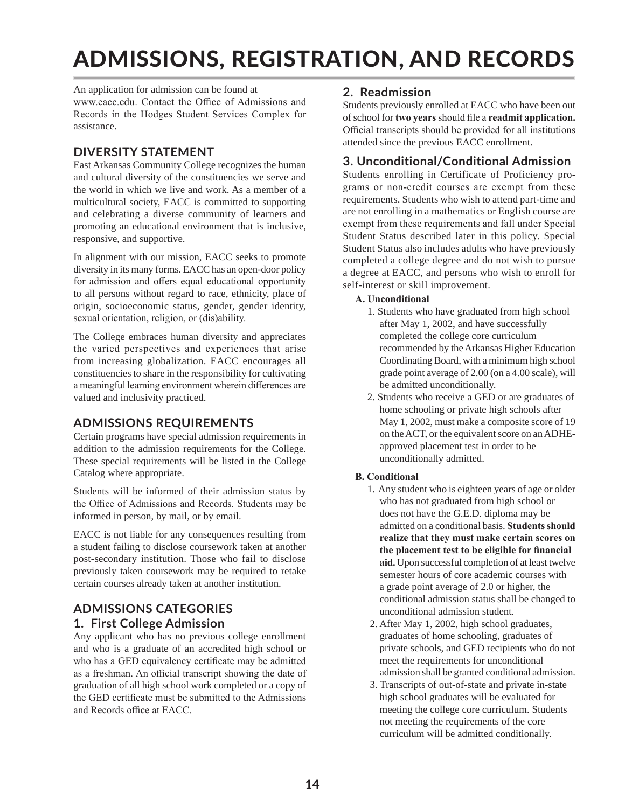# ADMISSIONS, REGISTRATION, AND RECORDS

An application for admission can be found at

www.eacc.edu. Contact the Office of Admissions and Records in the Hodges Student Services Complex for assistance.

## **DIVERSITY STATEMENT**

East Arkansas Community College recognizes the human and cultural diversity of the constituencies we serve and the world in which we live and work. As a member of a multicultural society, EACC is committed to supporting and celebrating a diverse community of learners and promoting an educational environment that is inclusive, responsive, and supportive.

In alignment with our mission, EACC seeks to promote diversity in its many forms. EACC has an open-door policy for admission and offers equal educational opportunity to all persons without regard to race, ethnicity, place of origin, socioeconomic status, gender, gender identity, sexual orientation, religion, or (dis)ability.

The College embraces human diversity and appreciates the varied perspectives and experiences that arise from increasing globalization. EACC encourages all constituencies to share in the responsibility for cultivating a meaningful learning environment wherein differences are valued and inclusivity practiced.

# **ADMISSIONS REQUIREMENTS**

Certain programs have special admission requirements in addition to the admission requirements for the College. These special requirements will be listed in the College Catalog where appropriate.

Students will be informed of their admission status by the Office of Admissions and Records. Students may be informed in person, by mail, or by email.

EACC is not liable for any consequences resulting from a student failing to disclose coursework taken at another post-secondary institution. Those who fail to disclose previously taken coursework may be required to retake certain courses already taken at another institution.

## **ADMISSIONS CATEGORIES 1. First College Admission**

Any applicant who has no previous college enrollment and who is a graduate of an accredited high school or who has a GED equivalency certificate may be admitted as a freshman. An official transcript showing the date of graduation of all high school work completed or a copy of the GED certificate must be submitted to the Admissions and Records office at EACC.

## **2. Readmission**

Students previously enrolled at EACC who have been out of school for **two years** should file a **readmit application.**  Official transcripts should be provided for all institutions attended since the previous EACC enrollment.

## **3. Unconditional/Conditional Admission**

Students enrolling in Certificate of Proficiency programs or non-credit courses are exempt from these requirements. Students who wish to attend part-time and are not enrolling in a mathematics or English course are exempt from these requirements and fall under Special Student Status described later in this policy. Special Student Status also includes adults who have previously completed a college degree and do not wish to pursue a degree at EACC, and persons who wish to enroll for self-interest or skill improvement.

## **A. Unconditional**

- 1. Students who have graduated from high school after May 1, 2002, and have successfully completed the college core curriculum recommended by the Arkansas Higher Education Coordinating Board, with a minimum high school grade point average of 2.00 (on a 4.00 scale), will be admitted unconditionally.
- 2. Students who receive a GED or are graduates of home schooling or private high schools after May 1, 2002, must make a composite score of 19 on the ACT, or the equivalent score on an ADHE approved placement test in order to be unconditionally admitted.

## **B. Conditional**

- 1. Any student who is eighteen years of age or older who has not graduated from high school or does not have the G.E.D. diploma may be admitted on a conditional basis. **Students should realize that they must make certain scores on the placement test to be eligible for financial aid.** Upon successful completion of at least twelve semester hours of core academic courses with a grade point average of 2.0 or higher, the conditional admission status shall be changed to unconditional admission student.
- 2. After May 1, 2002, high school graduates, graduates of home schooling, graduates of private schools, and GED recipients who do not meet the requirements for unconditional admission shall be granted conditional admission.
- 3. Transcripts of out-of-state and private in-state high school graduates will be evaluated for meeting the college core curriculum. Students not meeting the requirements of the core curriculum will be admitted conditionally.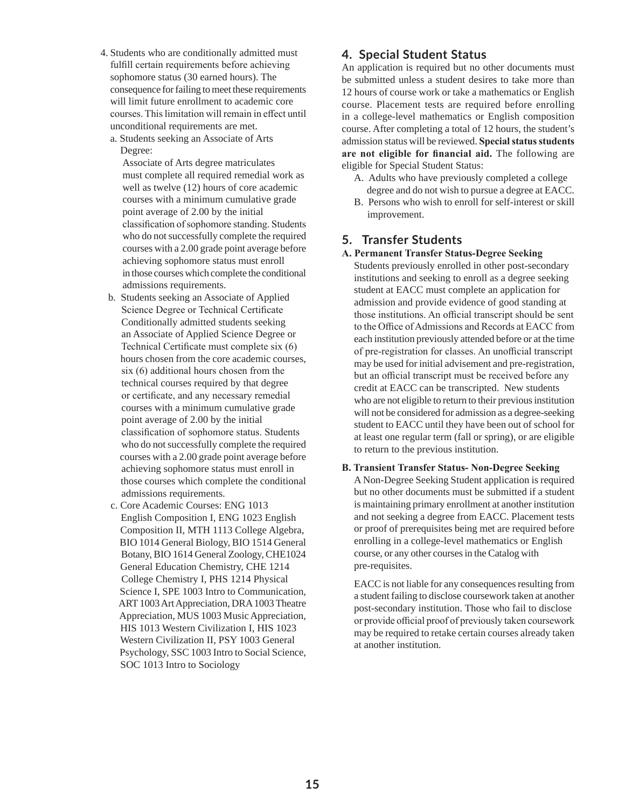- 4. Students who are conditionally admitted must fulfill certain requirements before achieving sophomore status (30 earned hours). The consequence for failing to meet these requirements will limit future enrollment to academic core courses. This limitation will remain in effect until unconditional requirements are met.
	- a. Students seeking an Associate of Arts Degree:

 Associate of Arts degree matriculates must complete all required remedial work as well as twelve (12) hours of core academic courses with a minimum cumulative grade point average of 2.00 by the initial classification of sophomore standing. Students who do not successfully complete the required courses with a 2.00 grade point average before achieving sophomore status must enroll in those courses which complete the conditional admissions requirements.

- b. Students seeking an Associate of Applied Science Degree or Technical Certificate Conditionally admitted students seeking an Associate of Applied Science Degree or Technical Certificate must complete six (6) hours chosen from the core academic courses, six (6) additional hours chosen from the technical courses required by that degree or certificate, and any necessary remedial courses with a minimum cumulative grade point average of 2.00 by the initial classification of sophomore status. Students who do not successfully complete the required courses with a 2.00 grade point average before achieving sophomore status must enroll in those courses which complete the conditional admissions requirements.
- c. Core Academic Courses: ENG 1013 English Composition I, ENG 1023 English Composition II, MTH 1113 College Algebra, BIO 1014 General Biology, BIO 1514 General Botany, BIO 1614 General Zoology, CHE1024 General Education Chemistry, CHE 1214 College Chemistry I, PHS 1214 Physical Science I, SPE 1003 Intro to Communication, ART 1003 Art Appreciation, DRA 1003 Theatre Appreciation, MUS 1003 Music Appreciation, HIS 1013 Western Civilization I, HIS 1023 Western Civilization II, PSY 1003 General Psychology, SSC 1003 Intro to Social Science, SOC 1013 Intro to Sociology

## **4. Special Student Status**

An application is required but no other documents must be submitted unless a student desires to take more than 12 hours of course work or take a mathematics or English course. Placement tests are required before enrolling in a college-level mathematics or English composition course. After completing a total of 12 hours, the student's admission status will be reviewed. **Special status students are not eligible for financial aid.** The following are eligible for Special Student Status:

- A. Adults who have previously completed a college degree and do not wish to pursue a degree at EACC.
- B. Persons who wish to enroll for self-interest or skill improvement.

## **5. Transfer Students**

#### **A. Permanent Transfer Status-Degree Seeking**

Students previously enrolled in other post-secondary institutions and seeking to enroll as a degree seeking student at EACC must complete an application for admission and provide evidence of good standing at those institutions. An official transcript should be sent to the Office of Admissions and Records at EACC from each institution previously attended before or at the time of pre-registration for classes. An unofficial transcript may be used for initial advisement and pre-registration, but an official transcript must be received before any credit at EACC can be transcripted. New students who are not eligible to return to their previous institution will not be considered for admission as a degree-seeking student to EACC until they have been out of school for at least one regular term (fall or spring), or are eligible to return to the previous institution.

#### **B. Transient Transfer Status- Non-Degree Seeking**

A Non-Degree Seeking Student application is required but no other documents must be submitted if a student is maintaining primary enrollment at another institution and not seeking a degree from EACC. Placement tests or proof of prerequisites being met are required before enrolling in a college-level mathematics or English course, or any other courses in the Catalog with pre-requisites.

EACC is not liable for any consequences resulting from a student failing to disclose coursework taken at another post-secondary institution. Those who fail to disclose or provide official proof of previously taken coursework may be required to retake certain courses already taken at another institution.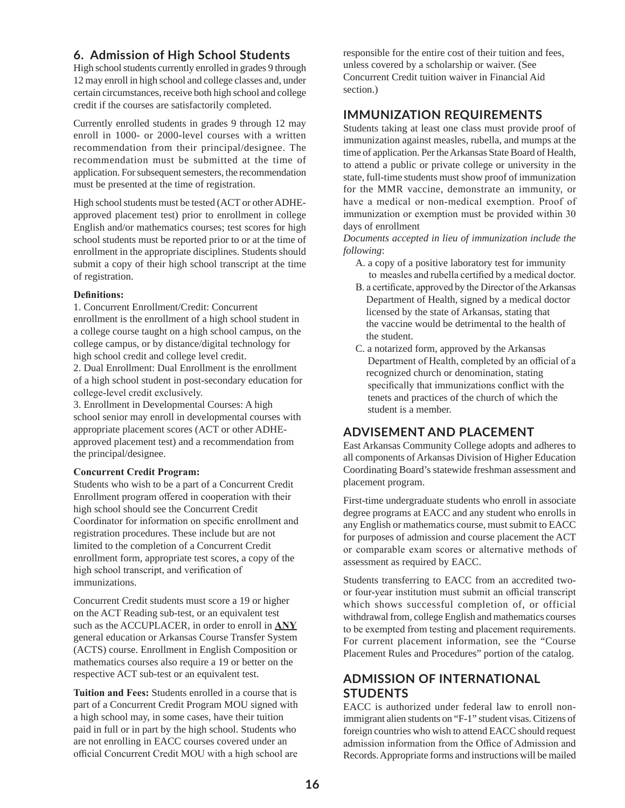## **6. Admission of High School Students**

High school students currently enrolled in grades 9 through 12 may enroll in high school and college classes and, under certain circumstances, receive both high school and college credit if the courses are satisfactorily completed.

Currently enrolled students in grades 9 through 12 may enroll in 1000- or 2000-level courses with a written recommendation from their principal/designee. The recommendation must be submitted at the time of application. For subsequent semesters, the recommendation must be presented at the time of registration.

High school students must be tested (ACT or other ADHEapproved placement test) prior to enrollment in college English and/or mathematics courses; test scores for high school students must be reported prior to or at the time of enrollment in the appropriate disciplines. Students should submit a copy of their high school transcript at the time of registration.

#### **Definitions:**

1. Concurrent Enrollment/Credit: Concurrent enrollment is the enrollment of a high school student in a college course taught on a high school campus, on the college campus, or by distance/digital technology for high school credit and college level credit.

2. Dual Enrollment: Dual Enrollment is the enrollment of a high school student in post-secondary education for college-level credit exclusively.

3. Enrollment in Developmental Courses: A high school senior may enroll in developmental courses with appropriate placement scores (ACT or other ADHEapproved placement test) and a recommendation from the principal/designee.

#### **Concurrent Credit Program:**

Students who wish to be a part of a Concurrent Credit Enrollment program offered in cooperation with their high school should see the Concurrent Credit Coordinator for information on specific enrollment and registration procedures. These include but are not limited to the completion of a Concurrent Credit enrollment form, appropriate test scores, a copy of the high school transcript, and verification of immunizations.

Concurrent Credit students must score a 19 or higher on the ACT Reading sub-test, or an equivalent test such as the ACCUPLACER, in order to enroll in **ANY** general education or Arkansas Course Transfer System (ACTS) course. Enrollment in English Composition or mathematics courses also require a 19 or better on the respective ACT sub-test or an equivalent test.

**Tuition and Fees:** Students enrolled in a course that is part of a Concurrent Credit Program MOU signed with a high school may, in some cases, have their tuition paid in full or in part by the high school. Students who are not enrolling in EACC courses covered under an official Concurrent Credit MOU with a high school are

responsible for the entire cost of their tuition and fees, unless covered by a scholarship or waiver. (See Concurrent Credit tuition waiver in Financial Aid section.)

## **IMMUNIZATION REQUIREMENTS**

Students taking at least one class must provide proof of immunization against measles, rubella, and mumps at the time of application. Per the Arkansas State Board of Health, to attend a public or private college or university in the state, full-time students must show proof of immunization for the MMR vaccine, demonstrate an immunity, or have a medical or non-medical exemption. Proof of immunization or exemption must be provided within 30 days of enrollment

*Documents accepted in lieu of immunization include the following*:

- A. a copy of a positive laboratory test for immunity to measles and rubella certified by a medical doctor.
- B. a certificate, approved by the Director of the Arkansas Department of Health, signed by a medical doctor licensed by the state of Arkansas, stating that the vaccine would be detrimental to the health of the student.
- C. a notarized form, approved by the Arkansas Department of Health, completed by an official of a recognized church or denomination, stating specifically that immunizations conflict with the tenets and practices of the church of which the student is a member.

## **ADVISEMENT AND PLACEMENT**

East Arkansas Community College adopts and adheres to all components of Arkansas Division of Higher Education Coordinating Board's statewide freshman assessment and placement program.

First-time undergraduate students who enroll in associate degree programs at EACC and any student who enrolls in any English or mathematics course, must submit to EACC for purposes of admission and course placement the ACT or comparable exam scores or alternative methods of assessment as required by EACC.

Students transferring to EACC from an accredited twoor four-year institution must submit an official transcript which shows successful completion of, or official withdrawal from, college English and mathematics courses to be exempted from testing and placement requirements. For current placement information, see the "Course Placement Rules and Procedures" portion of the catalog.

## **ADMISSION OF INTERNATIONAL STUDENTS**

EACC is authorized under federal law to enroll nonimmigrant alien students on "F-1" student visas. Citizens of foreign countries who wish to attend EACC should request admission information from the Office of Admission and Records. Appropriate forms and instructions will be mailed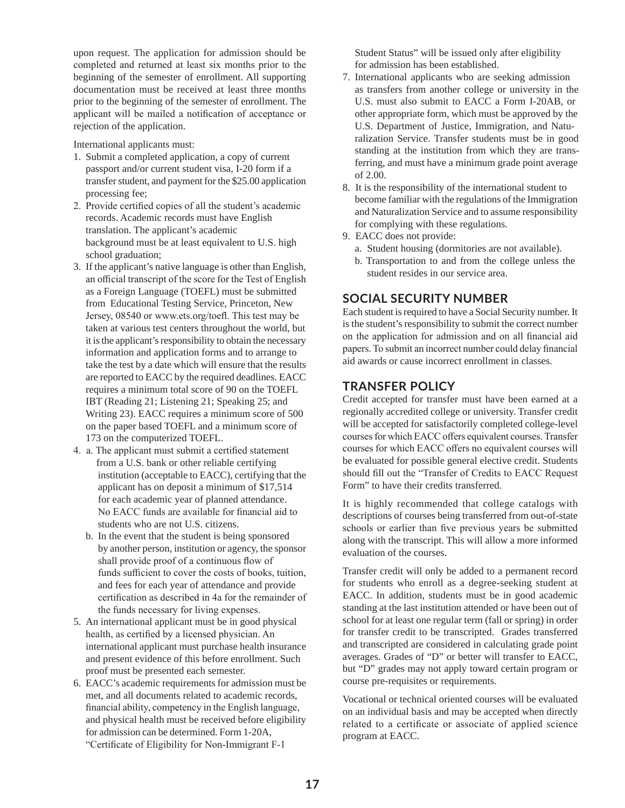upon request. The application for admission should be completed and returned at least six months prior to the beginning of the semester of enrollment. All supporting documentation must be received at least three months prior to the beginning of the semester of enrollment. The applicant will be mailed a notification of acceptance or rejection of the application.

International applicants must:

- 1. Submit a completed application, a copy of current passport and/or current student visa, I-20 form if a transfer student, and payment for the \$25.00 application processing fee;
- 2. Provide certified copies of all the student's academic records. Academic records must have English translation. The applicant's academic background must be at least equivalent to U.S. high school graduation;
- 3. If the applicant's native language is other than English, an official transcript of the score for the Test of English as a Foreign Language (TOEFL) must be submitted from Educational Testing Service, Princeton, New Jersey, 08540 or www.ets.org/toefl. This test may be taken at various test centers throughout the world, but it is the applicant's responsibility to obtain the necessary information and application forms and to arrange to take the test by a date which will ensure that the results are reported to EACC by the required deadlines. EACC requires a minimum total score of 90 on the TOEFL IBT (Reading 21; Listening 21; Speaking 25; and Writing 23). EACC requires a minimum score of 500 on the paper based TOEFL and a minimum score of 173 on the computerized TOEFL.
- 4. a. The applicant must submit a certified statement from a U.S. bank or other reliable certifying institution (acceptable to EACC), certifying that the applicant has on deposit a minimum of \$17,514 for each academic year of planned attendance. No EACC funds are available for financial aid to students who are not U.S. citizens.
	- b. In the event that the student is being sponsored by another person, institution or agency, the sponsor shall provide proof of a continuous flow of funds sufficient to cover the costs of books, tuition, and fees for each year of attendance and provide certification as described in 4a for the remainder of the funds necessary for living expenses.
- 5. An international applicant must be in good physical health, as certified by a licensed physician. An international applicant must purchase health insurance and present evidence of this before enrollment. Such proof must be presented each semester.
- 6. EACC's academic requirements for admission must be met, and all documents related to academic records, financial ability, competency in the English language, and physical health must be received before eligibility for admission can be determined. Form 1-20A, "Certificate of Eligibility for Non-Immigrant F-1

Student Status" will be issued only after eligibility for admission has been established.

- 7. International applicants who are seeking admission as transfers from another college or university in the U.S. must also submit to EACC a Form I-20AB, or other appropriate form, which must be approved by the U.S. Department of Justice, Immigration, and Naturalization Service. Transfer students must be in good standing at the institution from which they are transferring, and must have a minimum grade point average of 2.00.
- 8. It is the responsibility of the international student to become familiar with the regulations of the Immigration and Naturalization Service and to assume responsibility for complying with these regulations.
- 9. EACC does not provide:
	- a. Student housing (dormitories are not available).
	- b. Transportation to and from the college unless the student resides in our service area.

# **SOCIAL SECURITY NUMBER**

Each student is required to have a Social Security number. It is the student's responsibility to submit the correct number on the application for admission and on all financial aid papers. To submit an incorrect number could delay financial aid awards or cause incorrect enrollment in classes.

## **TRANSFER POLICY**

Credit accepted for transfer must have been earned at a regionally accredited college or university. Transfer credit will be accepted for satisfactorily completed college-level courses for which EACC offers equivalent courses. Transfer courses for which EACC offers no equivalent courses will be evaluated for possible general elective credit. Students should fill out the "Transfer of Credits to EACC Request Form" to have their credits transferred.

It is highly recommended that college catalogs with descriptions of courses being transferred from out-of-state schools or earlier than five previous years be submitted along with the transcript. This will allow a more informed evaluation of the courses.

Transfer credit will only be added to a permanent record for students who enroll as a degree-seeking student at EACC. In addition, students must be in good academic standing at the last institution attended or have been out of school for at least one regular term (fall or spring) in order for transfer credit to be transcripted. Grades transferred and transcripted are considered in calculating grade point averages. Grades of "D" or better will transfer to EACC, but "D" grades may not apply toward certain program or course pre-requisites or requirements.

Vocational or technical oriented courses will be evaluated on an individual basis and may be accepted when directly related to a certificate or associate of applied science program at EACC.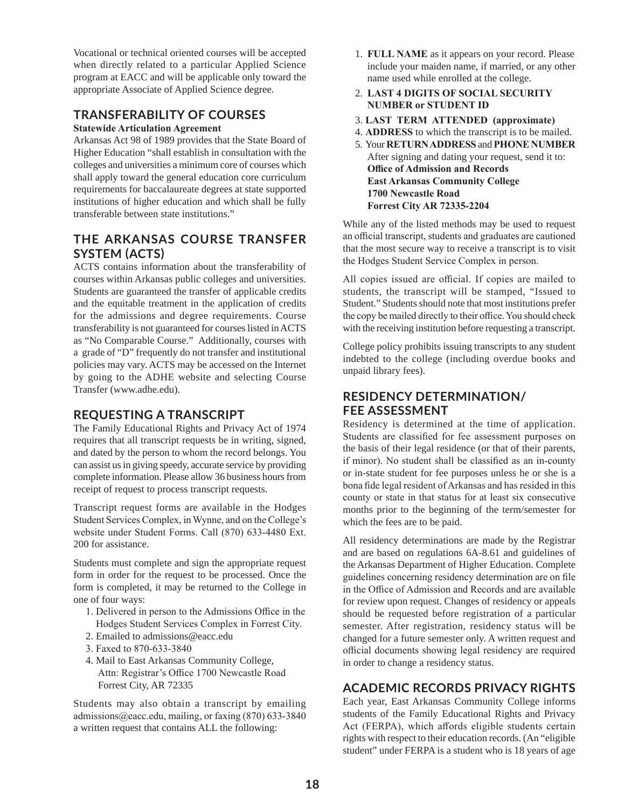Vocational or technical oriented courses will be accepted when directly related to a particular Applied Science program at EACC and will be applicable only toward the appropriate Associate of Applied Science degree.

## **TRANSFERABILITY OF COURSES**

### **Statewide Articulation Agreement**

Arkansas Act 98 of 1989 provides that the State Board of Higher Education "shall establish in consultation with the colleges and universities a minimum core of courses which shall apply toward the general education core curriculum requirements for baccalaureate degrees at state supported institutions of higher education and which shall be fully transferable between state institutions."

## **THE ARKANSAS COURSE TRANSFER SYSTEM (ACTS)**

ACTS contains information about the transferability of courses within Arkansas public colleges and universities. Students are guaranteed the transfer of applicable credits and the equitable treatment in the application of credits for the admissions and degree requirements. Course transferability is not guaranteed for courses listed in ACTS as "No Comparable Course." Additionally, courses with a grade of "D" frequently do not transfer and institutional policies may vary. ACTS may be accessed on the Internet by going to the ADHE website and selecting Course Transfer (www.adhe.edu).

## **REQUESTING A TRANSCRIPT**

The Family Educational Rights and Privacy Act of 1974 requires that all transcript requests be in writing, signed, and dated by the person to whom the record belongs. You can assist us in giving speedy, accurate service by providing complete information. Please allow 36 business hours from receipt of request to process transcript requests.

Transcript request forms are available in the Hodges Student Services Complex, in Wynne, and on the College's website under Student Forms. Call (870) 633-4480 Ext. 200 for assistance.

Students must complete and sign the appropriate request form in order for the request to be processed. Once the form is completed, it may be returned to the College in one of four ways:

- 1. Delivered in person to the Admissions Office in the Hodges Student Services Complex in Forrest City.
- 2. Emailed to admissions@eacc.edu
- 3. Faxed to 870-633-3840
- 4. Mail to East Arkansas Community College, Attn: Registrar's Office 1700 Newcastle Road Forrest City, AR 72335

Students may also obtain a transcript by emailing admissions@eacc.edu, mailing, or faxing (870) 633-3840 a written request that contains ALL the following:

- 1. **FULL NAME** as it appears on your record. Please include your maiden name, if married, or any other name used while enrolled at the college.
- 2. **LAST 4 DIGITS OF SOCIAL SECURITY NUMBER or STUDENT ID**
- 3. **LAST TERM ATTENDED (approximate)**
- 4. **ADDRESS** to which the transcript is to be mailed.
- 5. Your **RETURN ADDRESS** and **PHONE NUMBER** After signing and dating your request, send it to: **Office of Admission and Records East Arkansas Community College 1700 Newcastle Road Forrest City AR 72335-2204**

While any of the listed methods may be used to request an official transcript, students and graduates are cautioned that the most secure way to receive a transcript is to visit the Hodges Student Service Complex in person.

All copies issued are official. If copies are mailed to students, the transcript will be stamped, "Issued to Student." Students should note that most institutions prefer the copy be mailed directly to their office. You should check with the receiving institution before requesting a transcript.

College policy prohibits issuing transcripts to any student indebted to the college (including overdue books and unpaid library fees).

## **RESIDENCY DETERMINATION/ FEE ASSESSMENT**

Residency is determined at the time of application. Students are classified for fee assessment purposes on the basis of their legal residence (or that of their parents, if minor). No student shall be classified as an in-county or in-state student for fee purposes unless he or she is a bona fide legal resident of Arkansas and has resided in this county or state in that status for at least six consecutive months prior to the beginning of the term/semester for which the fees are to be paid.

All residency determinations are made by the Registrar and are based on regulations 6A-8.61 and guidelines of the Arkansas Department of Higher Education. Complete guidelines concerning residency determination are on file in the Office of Admission and Records and are available for review upon request. Changes of residency or appeals should be requested before registration of a particular semester. After registration, residency status will be changed for a future semester only. A written request and official documents showing legal residency are required in order to change a residency status.

# **ACADEMIC RECORDS PRIVACY RIGHTS**

Each year, East Arkansas Community College informs students of the Family Educational Rights and Privacy Act (FERPA), which affords eligible students certain rights with respect to their education records. (An "eligible student" under FERPA is a student who is 18 years of age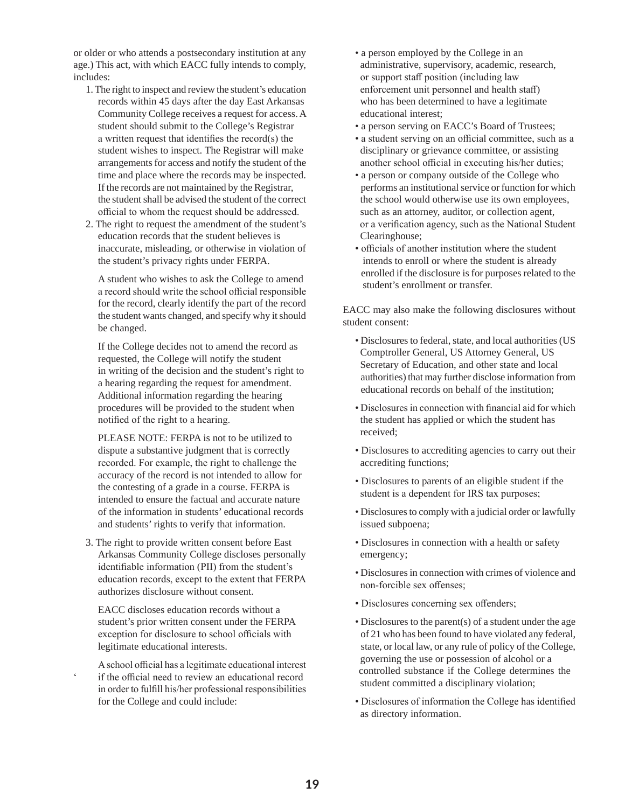or older or who attends a postsecondary institution at any age.) This act, with which EACC fully intends to comply, includes:

- 1. The right to inspect and review the student's education records within 45 days after the day East Arkansas Community College receives a request for access. A student should submit to the College's Registrar a written request that identifies the record(s) the student wishes to inspect. The Registrar will make arrangements for access and notify the student of the time and place where the records may be inspected. If the records are not maintained by the Registrar, the student shall be advised the student of the correct official to whom the request should be addressed.
- 2. The right to request the amendment of the student's education records that the student believes is inaccurate, misleading, or otherwise in violation of the student's privacy rights under FERPA.

 A student who wishes to ask the College to amend a record should write the school official responsible for the record, clearly identify the part of the record the student wants changed, and specify why it should be changed.

 If the College decides not to amend the record as requested, the College will notify the student in writing of the decision and the student's right to a hearing regarding the request for amendment. Additional information regarding the hearing procedures will be provided to the student when notified of the right to a hearing.

 PLEASE NOTE: FERPA is not to be utilized to dispute a substantive judgment that is correctly recorded. For example, the right to challenge the accuracy of the record is not intended to allow for the contesting of a grade in a course. FERPA is intended to ensure the factual and accurate nature of the information in students' educational records and students' rights to verify that information.

3. The right to provide written consent before East Arkansas Community College discloses personally identifiable information (PII) from the student's education records, except to the extent that FERPA authorizes disclosure without consent.

 EACC discloses education records without a student's prior written consent under the FERPA exception for disclosure to school officials with legitimate educational interests.

A school official has a legitimate educational interest if the official need to review an educational record in order to fulfill his/her professional responsibilities for the College and could include:

- a person employed by the College in an administrative, supervisory, academic, research, or support staff position (including law enforcement unit personnel and health staff) who has been determined to have a legitimate educational interest;
- a person serving on EACC's Board of Trustees;
- a student serving on an official committee, such as a disciplinary or grievance committee, or assisting another school official in executing his/her duties;
- a person or company outside of the College who performs an institutional service or function for which the school would otherwise use its own employees, such as an attorney, auditor, or collection agent, or a verification agency, such as the National Student Clearinghouse;
- officials of another institution where the student intends to enroll or where the student is already enrolled if the disclosure is for purposes related to the student's enrollment or transfer.

EACC may also make the following disclosures without student consent:

- Disclosures to federal, state, and local authorities (US Comptroller General, US Attorney General, US Secretary of Education, and other state and local authorities) that may further disclose information from educational records on behalf of the institution;
- Disclosures in connection with financial aid for which the student has applied or which the student has received;
- Disclosures to accrediting agencies to carry out their accrediting functions;
- Disclosures to parents of an eligible student if the student is a dependent for IRS tax purposes;
- Disclosures to comply with a judicial order or lawfully issued subpoena;
- Disclosures in connection with a health or safety emergency;
- Disclosures in connection with crimes of violence and non-forcible sex offenses;
- Disclosures concerning sex offenders;
- Disclosures to the parent(s) of a student under the age of 21 who has been found to have violated any federal, state, or local law, or any rule of policy of the College, governing the use or possession of alcohol or a controlled substance if the College determines the student committed a disciplinary violation;
- Disclosures of information the College has identified as directory information.